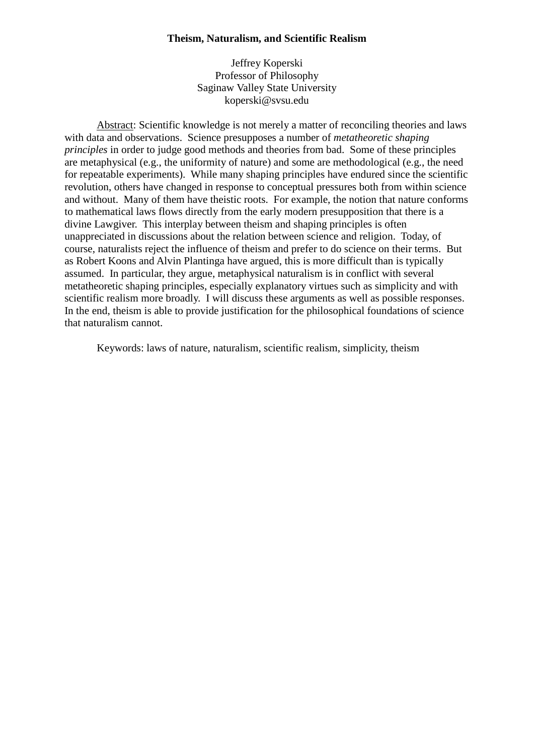## **Theism, Naturalism, and Scientific Realism**

Jeffrey Koperski Professor of Philosophy Saginaw Valley State University koperski@svsu.edu

Abstract: Scientific knowledge is not merely a matter of reconciling theories and laws with data and observations. Science presupposes a number of *metatheoretic shaping principles* in order to judge good methods and theories from bad. Some of these principles are metaphysical (e.g., the uniformity of nature) and some are methodological (e.g., the need for repeatable experiments). While many shaping principles have endured since the scientific revolution, others have changed in response to conceptual pressures both from within science and without. Many of them have theistic roots. For example, the notion that nature conforms to mathematical laws flows directly from the early modern presupposition that there is a divine Lawgiver. This interplay between theism and shaping principles is often unappreciated in discussions about the relation between science and religion. Today, of course, naturalists reject the influence of theism and prefer to do science on their terms. But as Robert Koons and Alvin Plantinga have argued, this is more difficult than is typically assumed. In particular, they argue, metaphysical naturalism is in conflict with several metatheoretic shaping principles, especially explanatory virtues such as simplicity and with scientific realism more broadly. I will discuss these arguments as well as possible responses. In the end, theism is able to provide justification for the philosophical foundations of science that naturalism cannot.

Keywords: laws of nature, naturalism, scientific realism, simplicity, theism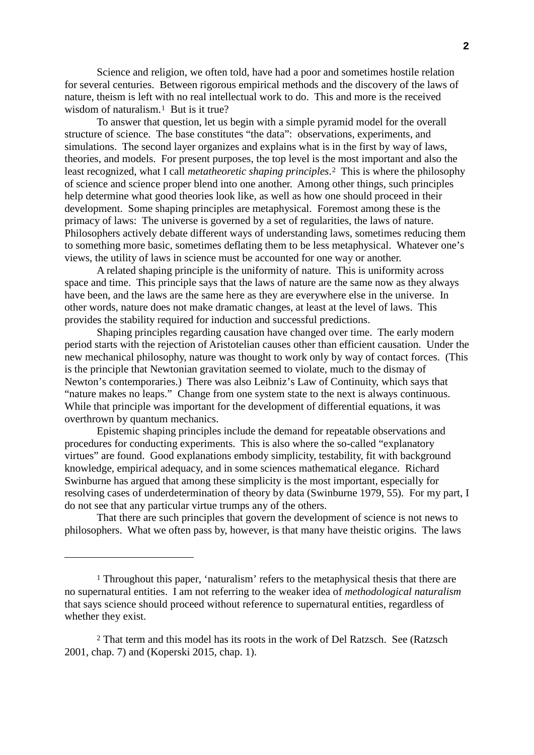Science and religion, we often told, have had a poor and sometimes hostile relation for several centuries. Between rigorous empirical methods and the discovery of the laws of nature, theism is left with no real intellectual work to do. This and more is the received wisdom of naturalism.<sup>[1](#page-1-0)</sup> But is it true?

To answer that question, let us begin with a simple pyramid model for the overall structure of science. The base constitutes "the data": observations, experiments, and simulations. The second layer organizes and explains what is in the first by way of laws, theories, and models. For present purposes, the top level is the most important and also the least recognized, what I call *metatheoretic shaping principles*.[2](#page-1-1) This is where the philosophy of science and science proper blend into one another. Among other things, such principles help determine what good theories look like, as well as how one should proceed in their development. Some shaping principles are metaphysical. Foremost among these is the primacy of laws: The universe is governed by a set of regularities, the laws of nature. Philosophers actively debate different ways of understanding laws, sometimes reducing them to something more basic, sometimes deflating them to be less metaphysical. Whatever one's views, the utility of laws in science must be accounted for one way or another.

A related shaping principle is the uniformity of nature. This is uniformity across space and time. This principle says that the laws of nature are the same now as they always have been, and the laws are the same here as they are everywhere else in the universe. In other words, nature does not make dramatic changes, at least at the level of laws. This provides the stability required for induction and successful predictions.

Shaping principles regarding causation have changed over time. The early modern period starts with the rejection of Aristotelian causes other than efficient causation. Under the new mechanical philosophy, nature was thought to work only by way of contact forces. (This is the principle that Newtonian gravitation seemed to violate, much to the dismay of Newton's contemporaries.) There was also Leibniz's Law of Continuity, which says that "nature makes no leaps." Change from one system state to the next is always continuous. While that principle was important for the development of differential equations, it was overthrown by quantum mechanics.

Epistemic shaping principles include the demand for repeatable observations and procedures for conducting experiments. This is also where the so-called "explanatory virtues" are found. Good explanations embody simplicity, testability, fit with background knowledge, empirical adequacy, and in some sciences mathematical elegance. Richard Swinburne has argued that among these simplicity is the most important, especially for resolving cases of underdetermination of theory by data (Swinburne 1979, 55). For my part, I do not see that any particular virtue trumps any of the others.

That there are such principles that govern the development of science is not news to philosophers. What we often pass by, however, is that many have theistic origins. The laws

<u>.</u>

<span id="page-1-0"></span><sup>1</sup> Throughout this paper, 'naturalism' refers to the metaphysical thesis that there are no supernatural entities. I am not referring to the weaker idea of *methodological naturalism* that says science should proceed without reference to supernatural entities, regardless of whether they exist.

<span id="page-1-1"></span><sup>2</sup> That term and this model has its roots in the work of Del Ratzsch. See (Ratzsch 2001, chap. 7) and (Koperski 2015, chap. 1).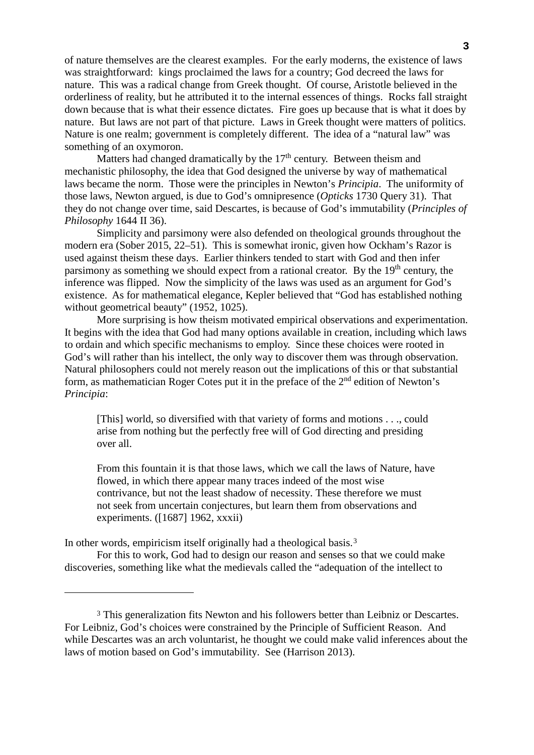of nature themselves are the clearest examples. For the early moderns, the existence of laws was straightforward: kings proclaimed the laws for a country; God decreed the laws for nature. This was a radical change from Greek thought. Of course, Aristotle believed in the orderliness of reality, but he attributed it to the internal essences of things. Rocks fall straight down because that is what their essence dictates. Fire goes up because that is what it does by nature. But laws are not part of that picture. Laws in Greek thought were matters of politics. Nature is one realm; government is completely different. The idea of a "natural law" was something of an oxymoron.

Matters had changed dramatically by the  $17<sup>th</sup>$  century. Between theism and mechanistic philosophy, the idea that God designed the universe by way of mathematical laws became the norm. Those were the principles in Newton's *Principia*. The uniformity of those laws, Newton argued, is due to God's omnipresence (*Opticks* 1730 Query 31). That they do not change over time, said Descartes, is because of God's immutability (*Principles of Philosophy* 1644 II 36).

Simplicity and parsimony were also defended on theological grounds throughout the modern era (Sober 2015, 22–51). This is somewhat ironic, given how Ockham's Razor is used against theism these days. Earlier thinkers tended to start with God and then infer parsimony as something we should expect from a rational creator. By the 19<sup>th</sup> century, the inference was flipped. Now the simplicity of the laws was used as an argument for God's existence. As for mathematical elegance, Kepler believed that "God has established nothing without geometrical beauty" (1952, 1025).

More surprising is how theism motivated empirical observations and experimentation. It begins with the idea that God had many options available in creation, including which laws to ordain and which specific mechanisms to employ. Since these choices were rooted in God's will rather than his intellect, the only way to discover them was through observation. Natural philosophers could not merely reason out the implications of this or that substantial form, as mathematician Roger Cotes put it in the preface of the 2nd edition of Newton's *Principia*:

[This] world, so diversified with that variety of forms and motions . . ., could arise from nothing but the perfectly free will of God directing and presiding over all.

From this fountain it is that those laws, which we call the laws of Nature, have flowed, in which there appear many traces indeed of the most wise contrivance, but not the least shadow of necessity. These therefore we must not seek from uncertain conjectures, but learn them from observations and experiments. ([1687] 1962, xxxii)

In other words, empiricism itself originally had a theological basis.[3](#page-2-0)

-

For this to work, God had to design our reason and senses so that we could make discoveries, something like what the medievals called the "adequation of the intellect to

<span id="page-2-0"></span><sup>3</sup> This generalization fits Newton and his followers better than Leibniz or Descartes. For Leibniz, God's choices were constrained by the Principle of Sufficient Reason. And while Descartes was an arch voluntarist, he thought we could make valid inferences about the laws of motion based on God's immutability. See (Harrison 2013).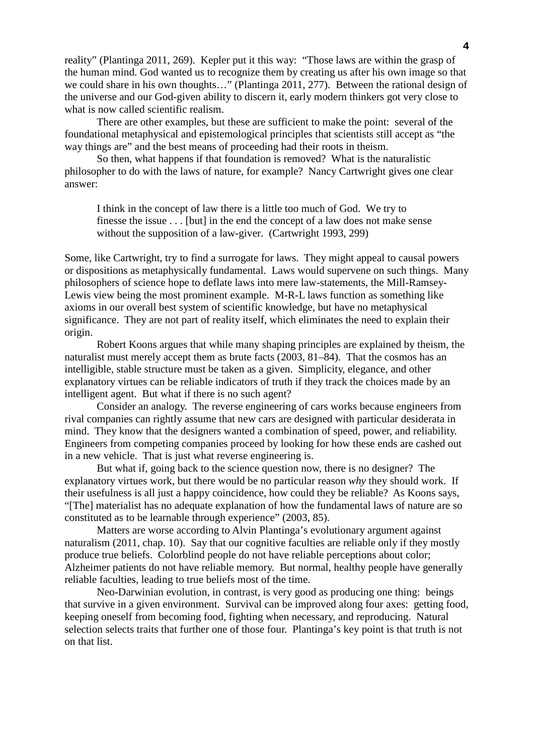reality" (Plantinga 2011, 269). Kepler put it this way: "Those laws are within the grasp of the human mind. God wanted us to recognize them by creating us after his own image so that we could share in his own thoughts…" (Plantinga 2011, 277). Between the rational design of the universe and our God-given ability to discern it, early modern thinkers got very close to what is now called scientific realism.

There are other examples, but these are sufficient to make the point: several of the foundational metaphysical and epistemological principles that scientists still accept as "the way things are" and the best means of proceeding had their roots in theism.

So then, what happens if that foundation is removed? What is the naturalistic philosopher to do with the laws of nature, for example? Nancy Cartwright gives one clear answer:

I think in the concept of law there is a little too much of God. We try to finesse the issue  $\ldots$  [but] in the end the concept of a law does not make sense without the supposition of a law-giver. (Cartwright 1993, 299)

Some, like Cartwright, try to find a surrogate for laws. They might appeal to causal powers or dispositions as metaphysically fundamental. Laws would supervene on such things. Many philosophers of science hope to deflate laws into mere law-statements, the Mill-Ramsey-Lewis view being the most prominent example. M-R-L laws function as something like axioms in our overall best system of scientific knowledge, but have no metaphysical significance. They are not part of reality itself, which eliminates the need to explain their origin.

Robert Koons argues that while many shaping principles are explained by theism, the naturalist must merely accept them as brute facts (2003, 81–84). That the cosmos has an intelligible, stable structure must be taken as a given. Simplicity, elegance, and other explanatory virtues can be reliable indicators of truth if they track the choices made by an intelligent agent. But what if there is no such agent?

Consider an analogy. The reverse engineering of cars works because engineers from rival companies can rightly assume that new cars are designed with particular desiderata in mind. They know that the designers wanted a combination of speed, power, and reliability. Engineers from competing companies proceed by looking for how these ends are cashed out in a new vehicle. That is just what reverse engineering is.

But what if, going back to the science question now, there is no designer? The explanatory virtues work, but there would be no particular reason *why* they should work. If their usefulness is all just a happy coincidence, how could they be reliable? As Koons says, "[The] materialist has no adequate explanation of how the fundamental laws of nature are so constituted as to be learnable through experience" (2003, 85).

Matters are worse according to Alvin Plantinga's evolutionary argument against naturalism (2011, chap. 10). Say that our cognitive faculties are reliable only if they mostly produce true beliefs. Colorblind people do not have reliable perceptions about color; Alzheimer patients do not have reliable memory. But normal, healthy people have generally reliable faculties, leading to true beliefs most of the time.

Neo-Darwinian evolution, in contrast, is very good as producing one thing: beings that survive in a given environment. Survival can be improved along four axes: getting food, keeping oneself from becoming food, fighting when necessary, and reproducing. Natural selection selects traits that further one of those four. Plantinga's key point is that truth is not on that list.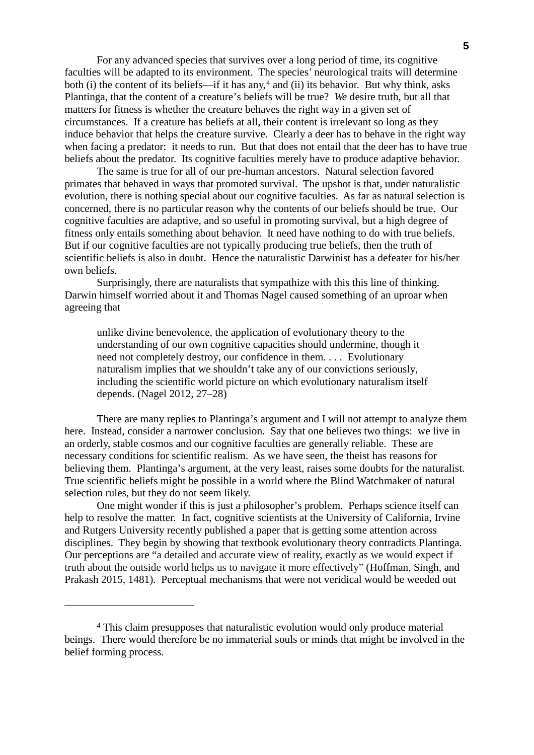For any advanced species that survives over a long period of time, its cognitive faculties will be adapted to its environment. The species' neurological traits will determine both (i) the content of its beliefs—if it has any,<sup>[4](#page-4-0)</sup> and (ii) its behavior. But why think, asks Plantinga, that the content of a creature's beliefs will be true? *We* desire truth, but all that matters for fitness is whether the creature behaves the right way in a given set of circumstances. If a creature has beliefs at all, their content is irrelevant so long as they induce behavior that helps the creature survive. Clearly a deer has to behave in the right way when facing a predator: it needs to run. But that does not entail that the deer has to have true beliefs about the predator. Its cognitive faculties merely have to produce adaptive behavior.

The same is true for all of our pre-human ancestors. Natural selection favored primates that behaved in ways that promoted survival. The upshot is that, under naturalistic evolution, there is nothing special about our cognitive faculties. As far as natural selection is concerned, there is no particular reason why the contents of our beliefs should be true. Our cognitive faculties are adaptive, and so useful in promoting survival, but a high degree of fitness only entails something about behavior. It need have nothing to do with true beliefs. But if our cognitive faculties are not typically producing true beliefs, then the truth of scientific beliefs is also in doubt. Hence the naturalistic Darwinist has a defeater for his/her own beliefs.

Surprisingly, there are naturalists that sympathize with this this line of thinking. Darwin himself worried about it and Thomas Nagel caused something of an uproar when agreeing that

unlike divine benevolence, the application of evolutionary theory to the understanding of our own cognitive capacities should undermine, though it need not completely destroy, our confidence in them. . . . Evolutionary naturalism implies that we shouldn't take any of our convictions seriously, including the scientific world picture on which evolutionary naturalism itself depends. (Nagel 2012, 27–28)

There are many replies to Plantinga's argument and I will not attempt to analyze them here. Instead, consider a narrower conclusion. Say that one believes two things: we live in an orderly, stable cosmos and our cognitive faculties are generally reliable. These are necessary conditions for scientific realism. As we have seen, the theist has reasons for believing them. Plantinga's argument, at the very least, raises some doubts for the naturalist. True scientific beliefs might be possible in a world where the Blind Watchmaker of natural selection rules, but they do not seem likely.

One might wonder if this is just a philosopher's problem. Perhaps science itself can help to resolve the matter. In fact, cognitive scientists at the University of California, Irvine and Rutgers University recently published a paper that is getting some attention across disciplines. They begin by showing that textbook evolutionary theory contradicts Plantinga. Our perceptions are "a detailed and accurate view of reality, exactly as we would expect if truth about the outside world helps us to navigate it more effectively" (Hoffman, Singh, and Prakash 2015, 1481). Perceptual mechanisms that were not veridical would be weeded out

-

<span id="page-4-0"></span><sup>4</sup> This claim presupposes that naturalistic evolution would only produce material beings. There would therefore be no immaterial souls or minds that might be involved in the belief forming process.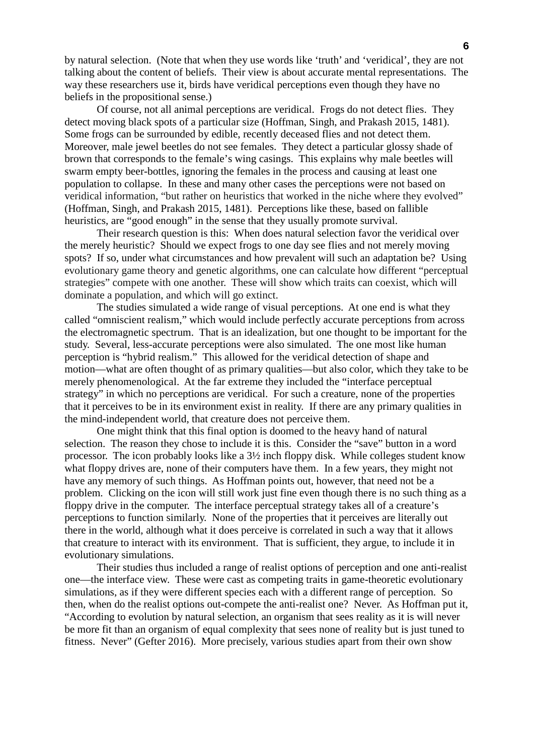by natural selection. (Note that when they use words like 'truth' and 'veridical', they are not talking about the content of beliefs. Their view is about accurate mental representations. The way these researchers use it, birds have veridical perceptions even though they have no beliefs in the propositional sense.)

Of course, not all animal perceptions are veridical. Frogs do not detect flies. They detect moving black spots of a particular size (Hoffman, Singh, and Prakash 2015, 1481). Some frogs can be surrounded by edible, recently deceased flies and not detect them. Moreover, male jewel beetles do not see females. They detect a particular glossy shade of brown that corresponds to the female's wing casings. This explains why male beetles will swarm empty beer-bottles, ignoring the females in the process and causing at least one population to collapse. In these and many other cases the perceptions were not based on veridical information, "but rather on heuristics that worked in the niche where they evolved" (Hoffman, Singh, and Prakash 2015, 1481). Perceptions like these, based on fallible heuristics, are "good enough" in the sense that they usually promote survival.

Their research question is this: When does natural selection favor the veridical over the merely heuristic? Should we expect frogs to one day see flies and not merely moving spots? If so, under what circumstances and how prevalent will such an adaptation be? Using evolutionary game theory and genetic algorithms, one can calculate how different "perceptual strategies" compete with one another. These will show which traits can coexist, which will dominate a population, and which will go extinct.

The studies simulated a wide range of visual perceptions. At one end is what they called "omniscient realism," which would include perfectly accurate perceptions from across the electromagnetic spectrum. That is an idealization, but one thought to be important for the study. Several, less-accurate perceptions were also simulated. The one most like human perception is "hybrid realism." This allowed for the veridical detection of shape and motion—what are often thought of as primary qualities—but also color, which they take to be merely phenomenological. At the far extreme they included the "interface perceptual strategy" in which no perceptions are veridical. For such a creature, none of the properties that it perceives to be in its environment exist in reality. If there are any primary qualities in the mind-independent world, that creature does not perceive them.

One might think that this final option is doomed to the heavy hand of natural selection. The reason they chose to include it is this. Consider the "save" button in a word processor. The icon probably looks like a 3½ inch floppy disk. While colleges student know what floppy drives are, none of their computers have them. In a few years, they might not have any memory of such things. As Hoffman points out, however, that need not be a problem. Clicking on the icon will still work just fine even though there is no such thing as a floppy drive in the computer. The interface perceptual strategy takes all of a creature's perceptions to function similarly. None of the properties that it perceives are literally out there in the world, although what it does perceive is correlated in such a way that it allows that creature to interact with its environment. That is sufficient, they argue, to include it in evolutionary simulations.

Their studies thus included a range of realist options of perception and one anti-realist one—the interface view. These were cast as competing traits in game-theoretic evolutionary simulations, as if they were different species each with a different range of perception. So then, when do the realist options out-compete the anti-realist one? Never. As Hoffman put it, "According to evolution by natural selection, an organism that sees reality as it is will never be more fit than an organism of equal complexity that sees none of reality but is just tuned to fitness. Never" (Gefter 2016). More precisely, various studies apart from their own show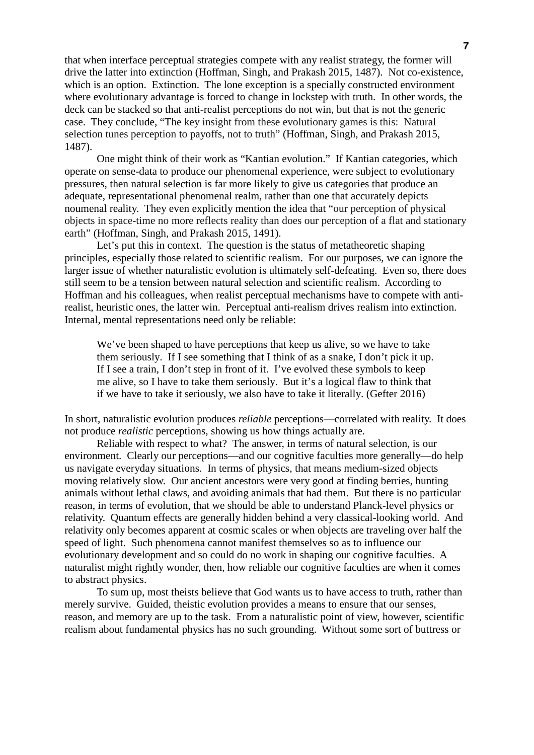that when interface perceptual strategies compete with any realist strategy, the former will drive the latter into extinction (Hoffman, Singh, and Prakash 2015, 1487). Not co-existence, which is an option. Extinction. The lone exception is a specially constructed environment where evolutionary advantage is forced to change in lockstep with truth. In other words, the deck can be stacked so that anti-realist perceptions do not win, but that is not the generic case. They conclude, "The key insight from these evolutionary games is this: Natural selection tunes perception to payoffs, not to truth" (Hoffman, Singh, and Prakash 2015, 1487).

One might think of their work as "Kantian evolution." If Kantian categories, which operate on sense-data to produce our phenomenal experience, were subject to evolutionary pressures, then natural selection is far more likely to give us categories that produce an adequate, representational phenomenal realm, rather than one that accurately depicts noumenal reality. They even explicitly mention the idea that "our perception of physical objects in space-time no more reflects reality than does our perception of a flat and stationary earth" (Hoffman, Singh, and Prakash 2015, 1491).

Let's put this in context. The question is the status of metatheoretic shaping principles, especially those related to scientific realism. For our purposes, we can ignore the larger issue of whether naturalistic evolution is ultimately self-defeating. Even so, there does still seem to be a tension between natural selection and scientific realism. According to Hoffman and his colleagues, when realist perceptual mechanisms have to compete with antirealist, heuristic ones, the latter win. Perceptual anti-realism drives realism into extinction. Internal, mental representations need only be reliable:

We've been shaped to have perceptions that keep us alive, so we have to take them seriously. If I see something that I think of as a snake, I don't pick it up. If I see a train, I don't step in front of it. I've evolved these symbols to keep me alive, so I have to take them seriously. But it's a logical flaw to think that if we have to take it seriously, we also have to take it literally. (Gefter 2016)

In short, naturalistic evolution produces *reliable* perceptions—correlated with reality. It does not produce *realistic* perceptions, showing us how things actually are.

Reliable with respect to what? The answer, in terms of natural selection, is our environment. Clearly our perceptions—and our cognitive faculties more generally—do help us navigate everyday situations. In terms of physics, that means medium-sized objects moving relatively slow. Our ancient ancestors were very good at finding berries, hunting animals without lethal claws, and avoiding animals that had them. But there is no particular reason, in terms of evolution, that we should be able to understand Planck-level physics or relativity. Quantum effects are generally hidden behind a very classical-looking world. And relativity only becomes apparent at cosmic scales or when objects are traveling over half the speed of light. Such phenomena cannot manifest themselves so as to influence our evolutionary development and so could do no work in shaping our cognitive faculties. A naturalist might rightly wonder, then, how reliable our cognitive faculties are when it comes to abstract physics.

To sum up, most theists believe that God wants us to have access to truth, rather than merely survive. Guided, theistic evolution provides a means to ensure that our senses, reason, and memory are up to the task. From a naturalistic point of view, however, scientific realism about fundamental physics has no such grounding. Without some sort of buttress or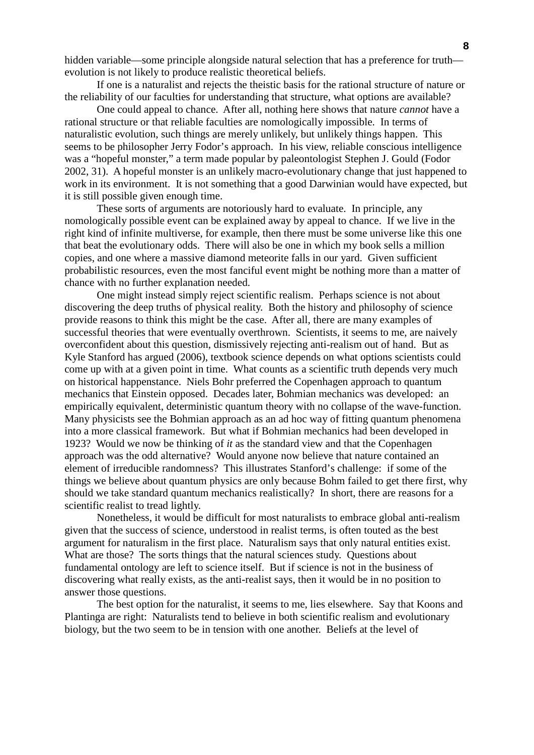hidden variable—some principle alongside natural selection that has a preference for truth evolution is not likely to produce realistic theoretical beliefs.

If one is a naturalist and rejects the theistic basis for the rational structure of nature or the reliability of our faculties for understanding that structure, what options are available?

One could appeal to chance. After all, nothing here shows that nature *cannot* have a rational structure or that reliable faculties are nomologically impossible. In terms of naturalistic evolution, such things are merely unlikely, but unlikely things happen. This seems to be philosopher Jerry Fodor's approach. In his view, reliable conscious intelligence was a "hopeful monster," a term made popular by paleontologist Stephen J. Gould (Fodor 2002, 31). A hopeful monster is an unlikely macro-evolutionary change that just happened to work in its environment. It is not something that a good Darwinian would have expected, but it is still possible given enough time.

These sorts of arguments are notoriously hard to evaluate. In principle, any nomologically possible event can be explained away by appeal to chance. If we live in the right kind of infinite multiverse, for example, then there must be some universe like this one that beat the evolutionary odds. There will also be one in which my book sells a million copies, and one where a massive diamond meteorite falls in our yard. Given sufficient probabilistic resources, even the most fanciful event might be nothing more than a matter of chance with no further explanation needed.

One might instead simply reject scientific realism. Perhaps science is not about discovering the deep truths of physical reality. Both the history and philosophy of science provide reasons to think this might be the case. After all, there are many examples of successful theories that were eventually overthrown. Scientists, it seems to me, are naively overconfident about this question, dismissively rejecting anti-realism out of hand. But as Kyle Stanford has argued (2006), textbook science depends on what options scientists could come up with at a given point in time. What counts as a scientific truth depends very much on historical happenstance. Niels Bohr preferred the Copenhagen approach to quantum mechanics that Einstein opposed. Decades later, Bohmian mechanics was developed: an empirically equivalent, deterministic quantum theory with no collapse of the wave-function. Many physicists see the Bohmian approach as an ad hoc way of fitting quantum phenomena into a more classical framework. But what if Bohmian mechanics had been developed in 1923? Would we now be thinking of *it* as the standard view and that the Copenhagen approach was the odd alternative? Would anyone now believe that nature contained an element of irreducible randomness? This illustrates Stanford's challenge: if some of the things we believe about quantum physics are only because Bohm failed to get there first, why should we take standard quantum mechanics realistically? In short, there are reasons for a scientific realist to tread lightly.

Nonetheless, it would be difficult for most naturalists to embrace global anti-realism given that the success of science, understood in realist terms, is often touted as the best argument for naturalism in the first place. Naturalism says that only natural entities exist. What are those? The sorts things that the natural sciences study. Questions about fundamental ontology are left to science itself. But if science is not in the business of discovering what really exists, as the anti-realist says, then it would be in no position to answer those questions.

The best option for the naturalist, it seems to me, lies elsewhere. Say that Koons and Plantinga are right: Naturalists tend to believe in both scientific realism and evolutionary biology, but the two seem to be in tension with one another. Beliefs at the level of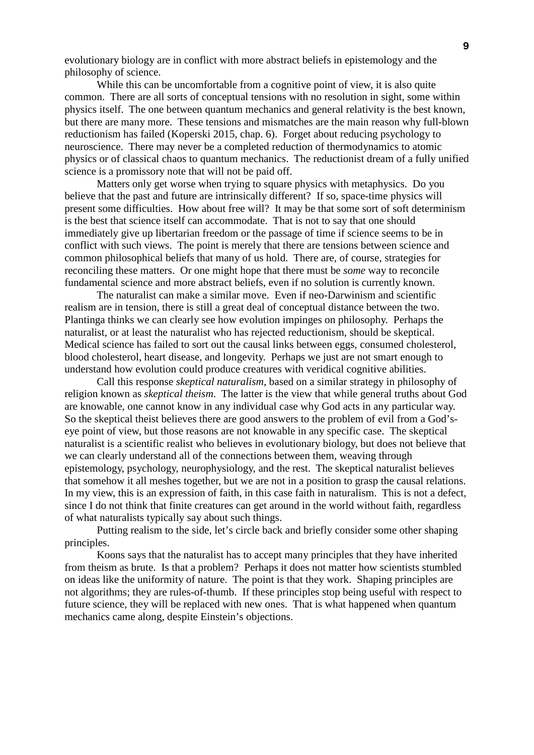evolutionary biology are in conflict with more abstract beliefs in epistemology and the philosophy of science.

While this can be uncomfortable from a cognitive point of view, it is also quite common. There are all sorts of conceptual tensions with no resolution in sight, some within physics itself. The one between quantum mechanics and general relativity is the best known, but there are many more. These tensions and mismatches are the main reason why full-blown reductionism has failed (Koperski 2015, chap. 6). Forget about reducing psychology to neuroscience. There may never be a completed reduction of thermodynamics to atomic physics or of classical chaos to quantum mechanics. The reductionist dream of a fully unified science is a promissory note that will not be paid off.

Matters only get worse when trying to square physics with metaphysics. Do you believe that the past and future are intrinsically different? If so, space-time physics will present some difficulties. How about free will? It may be that some sort of soft determinism is the best that science itself can accommodate. That is not to say that one should immediately give up libertarian freedom or the passage of time if science seems to be in conflict with such views. The point is merely that there are tensions between science and common philosophical beliefs that many of us hold. There are, of course, strategies for reconciling these matters. Or one might hope that there must be *some* way to reconcile fundamental science and more abstract beliefs, even if no solution is currently known.

The naturalist can make a similar move. Even if neo-Darwinism and scientific realism are in tension, there is still a great deal of conceptual distance between the two. Plantinga thinks we can clearly see how evolution impinges on philosophy. Perhaps the naturalist, or at least the naturalist who has rejected reductionism, should be skeptical. Medical science has failed to sort out the causal links between eggs, consumed cholesterol, blood cholesterol, heart disease, and longevity. Perhaps we just are not smart enough to understand how evolution could produce creatures with veridical cognitive abilities.

Call this response *skeptical naturalism*, based on a similar strategy in philosophy of religion known as *skeptical theism*. The latter is the view that while general truths about God are knowable, one cannot know in any individual case why God acts in any particular way. So the skeptical theist believes there are good answers to the problem of evil from a God'seye point of view, but those reasons are not knowable in any specific case. The skeptical naturalist is a scientific realist who believes in evolutionary biology, but does not believe that we can clearly understand all of the connections between them, weaving through epistemology, psychology, neurophysiology, and the rest. The skeptical naturalist believes that somehow it all meshes together, but we are not in a position to grasp the causal relations. In my view, this is an expression of faith, in this case faith in naturalism. This is not a defect, since I do not think that finite creatures can get around in the world without faith, regardless of what naturalists typically say about such things.

Putting realism to the side, let's circle back and briefly consider some other shaping principles.

Koons says that the naturalist has to accept many principles that they have inherited from theism as brute. Is that a problem? Perhaps it does not matter how scientists stumbled on ideas like the uniformity of nature. The point is that they work. Shaping principles are not algorithms; they are rules-of-thumb. If these principles stop being useful with respect to future science, they will be replaced with new ones. That is what happened when quantum mechanics came along, despite Einstein's objections.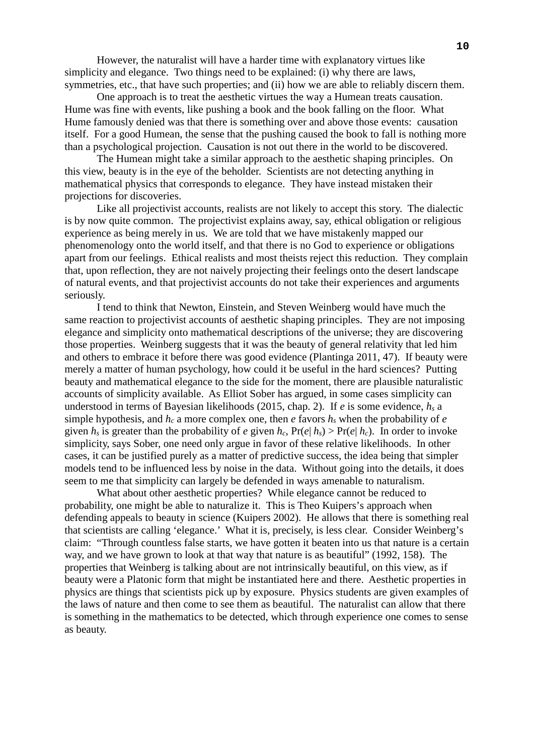However, the naturalist will have a harder time with explanatory virtues like simplicity and elegance. Two things need to be explained: (i) why there are laws, symmetries, etc., that have such properties; and (ii) how we are able to reliably discern them.

One approach is to treat the aesthetic virtues the way a Humean treats causation. Hume was fine with events, like pushing a book and the book falling on the floor. What Hume famously denied was that there is something over and above those events: causation itself. For a good Humean, the sense that the pushing caused the book to fall is nothing more than a psychological projection. Causation is not out there in the world to be discovered.

The Humean might take a similar approach to the aesthetic shaping principles. On this view, beauty is in the eye of the beholder. Scientists are not detecting anything in mathematical physics that corresponds to elegance. They have instead mistaken their projections for discoveries.

Like all projectivist accounts, realists are not likely to accept this story. The dialectic is by now quite common. The projectivist explains away, say, ethical obligation or religious experience as being merely in us. We are told that we have mistakenly mapped our phenomenology onto the world itself, and that there is no God to experience or obligations apart from our feelings. Ethical realists and most theists reject this reduction. They complain that, upon reflection, they are not naively projecting their feelings onto the desert landscape of natural events, and that projectivist accounts do not take their experiences and arguments seriously.

I tend to think that Newton, Einstein, and Steven Weinberg would have much the same reaction to projectivist accounts of aesthetic shaping principles. They are not imposing elegance and simplicity onto mathematical descriptions of the universe; they are discovering those properties. Weinberg suggests that it was the beauty of general relativity that led him and others to embrace it before there was good evidence (Plantinga 2011, 47). If beauty were merely a matter of human psychology, how could it be useful in the hard sciences? Putting beauty and mathematical elegance to the side for the moment, there are plausible naturalistic accounts of simplicity available. As Elliot Sober has argued, in some cases simplicity can understood in terms of Bayesian likelihoods (2015, chap. 2). If *e* is some evidence, *hs* a simple hypothesis, and  $h_c$  a more complex one, then *e* favors  $h_s$  when the probability of *e* given  $h_s$  is greater than the probability of *e* given  $h_c$ ,  $Pr(e|h_s) > Pr(e|h_c)$ . In order to invoke simplicity, says Sober, one need only argue in favor of these relative likelihoods. In other cases, it can be justified purely as a matter of predictive success, the idea being that simpler models tend to be influenced less by noise in the data. Without going into the details, it does seem to me that simplicity can largely be defended in ways amenable to naturalism.

What about other aesthetic properties? While elegance cannot be reduced to probability, one might be able to naturalize it. This is Theo Kuipers's approach when defending appeals to beauty in science (Kuipers 2002). He allows that there is something real that scientists are calling 'elegance.' What it is, precisely, is less clear. Consider Weinberg's claim: "Through countless false starts, we have gotten it beaten into us that nature is a certain way, and we have grown to look at that way that nature is as beautiful" (1992, 158). The properties that Weinberg is talking about are not intrinsically beautiful, on this view, as if beauty were a Platonic form that might be instantiated here and there. Aesthetic properties in physics are things that scientists pick up by exposure. Physics students are given examples of the laws of nature and then come to see them as beautiful. The naturalist can allow that there is something in the mathematics to be detected, which through experience one comes to sense as beauty.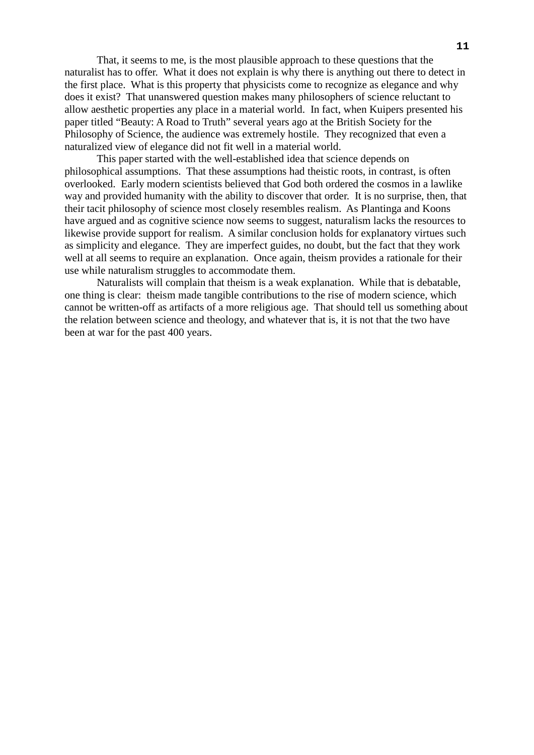That, it seems to me, is the most plausible approach to these questions that the naturalist has to offer. What it does not explain is why there is anything out there to detect in the first place. What is this property that physicists come to recognize as elegance and why does it exist? That unanswered question makes many philosophers of science reluctant to allow aesthetic properties any place in a material world. In fact, when Kuipers presented his paper titled "Beauty: A Road to Truth" several years ago at the British Society for the Philosophy of Science, the audience was extremely hostile. They recognized that even a naturalized view of elegance did not fit well in a material world.

This paper started with the well-established idea that science depends on philosophical assumptions. That these assumptions had theistic roots, in contrast, is often overlooked. Early modern scientists believed that God both ordered the cosmos in a lawlike way and provided humanity with the ability to discover that order. It is no surprise, then, that their tacit philosophy of science most closely resembles realism. As Plantinga and Koons have argued and as cognitive science now seems to suggest, naturalism lacks the resources to likewise provide support for realism. A similar conclusion holds for explanatory virtues such as simplicity and elegance. They are imperfect guides, no doubt, but the fact that they work well at all seems to require an explanation. Once again, theism provides a rationale for their use while naturalism struggles to accommodate them.

Naturalists will complain that theism is a weak explanation. While that is debatable, one thing is clear: theism made tangible contributions to the rise of modern science, which cannot be written-off as artifacts of a more religious age. That should tell us something about the relation between science and theology, and whatever that is, it is not that the two have been at war for the past 400 years.